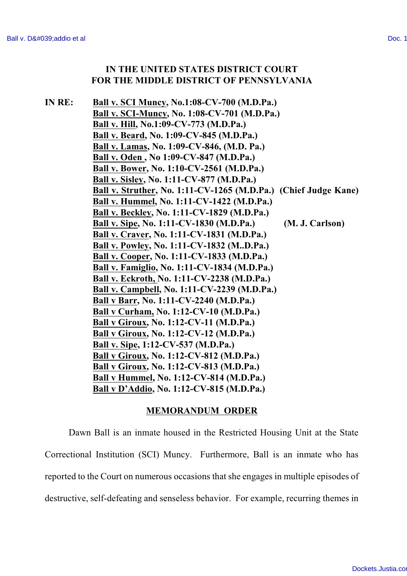## **IN THE UNITED STATES DISTRICT COURT FOR THE MIDDLE DISTRICT OF PENNSYLVANIA**

**IN RE: Ball v. SCI Muncy, No.1:08-CV-700 (M.D.Pa.) Ball v. SCI-Muncy, No. 1:08-CV-701 (M.D.Pa.) Ball v. Hill, No.1:09-CV-773 (M.D.Pa.) Ball v. Beard, No. 1:09-CV-845 (M.D.Pa.) Ball v. Lamas, No. 1:09-CV-846, (M.D. Pa.) Ball v. Oden , No 1:09-CV-847 (M.D.Pa.) Ball v. Bower, No. 1:10-CV-2561 (M.D.Pa.) Ball v. Sisley, No. 1:11-CV-877 (M.D.Pa.) Ball v. Struther, No. 1:11-CV-1265 (M.D.Pa.) (Chief Judge Kane) Ball v. Hummel, No. 1:11-CV-1422 (M.D.Pa.) Ball v. Beckley, No. 1:11-CV-1829 (M.D.Pa.) Ball v. Sipe, No. 1:11-CV-1830 (M.D.Pa.) (M. J. Carlson) Ball v. Craver, No. 1:11-CV-1831 (M.D.Pa.) Ball v. Powley, No. 1:11-CV-1832 (M..D.Pa.) Ball v. Cooper, No. 1:11-CV-1833 (M.D.Pa.) Ball v. Famiglio, No. 1:11-CV-1834 (M.D.Pa.) Ball v. Eckroth, No. 1:11-CV-2238 (M.D.Pa.) Ball v. Campbell, No. 1:11-CV-2239 (M.D.Pa.) Ball v Barr, No. 1:11-CV-2240 (M.D.Pa.) Ball v Curham, No. 1:12-CV-10 (M.D.Pa.) Ball v Giroux, No. 1:12-CV-11 (M.D.Pa.) Ball v Giroux, No. 1:12-CV-12 (M.D.Pa.) Ball v. Sipe, 1:12-CV-537 (M.D.Pa.) Ball v Giroux, No. 1:12-CV-812 (M.D.Pa.) Ball v Giroux, No. 1:12-CV-813 (M.D.Pa.) Ball v Hummel, No. 1:12-CV-814 (M.D.Pa.) Ball v D'Addio, No. 1:12-CV-815 (M.D.Pa.)**

## **MEMORANDUM ORDER**

Dawn Ball is an inmate housed in the Restricted Housing Unit at the State Correctional Institution (SCI) Muncy. Furthermore, Ball is an inmate who has reported to the Court on numerous occasions that she engages in multiple episodes of destructive, self-defeating and senseless behavior. For example, recurring themes in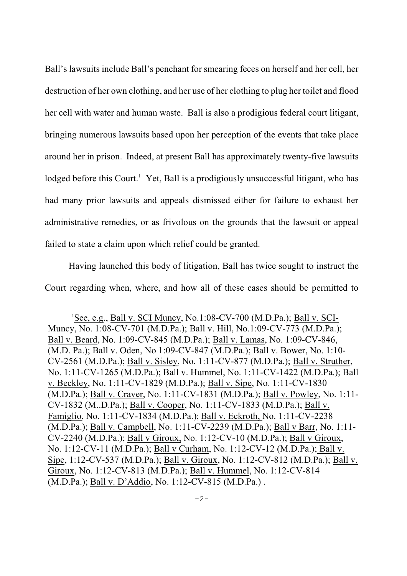Ball's lawsuits include Ball's penchant for smearing feces on herself and her cell, her destruction of her own clothing, and her use of her clothing to plug her toilet and flood her cell with water and human waste. Ball is also a prodigious federal court litigant, bringing numerous lawsuits based upon her perception of the events that take place around her in prison. Indeed, at present Ball has approximately twenty-five lawsuits lodged before this Court.<sup>1</sup> Yet, Ball is a prodigiously unsuccessful litigant, who has had many prior lawsuits and appeals dismissed either for failure to exhaust her administrative remedies, or as frivolous on the grounds that the lawsuit or appeal failed to state a claim upon which relief could be granted.

Having launched this body of litigation, Ball has twice sought to instruct the Court regarding when, where, and how all of these cases should be permitted to

 ${}^{1}$ See, e.g., Ball v. SCI Muncy, No.1:08-CV-700 (M.D.Pa.); Ball v. SCI-Muncy, No. 1:08-CV-701 (M.D.Pa.); Ball v. Hill, No.1:09-CV-773 (M.D.Pa.); Ball v. Beard, No. 1:09-CV-845 (M.D.Pa.); Ball v. Lamas, No. 1:09-CV-846, (M.D. Pa.); Ball v. Oden, No 1:09-CV-847 (M.D.Pa.); Ball v. Bower, No. 1:10- CV-2561 (M.D.Pa.); Ball v. Sisley, No. 1:11-CV-877 (M.D.Pa.); Ball v. Struther, No. 1:11-CV-1265 (M.D.Pa.); Ball v. Hummel, No. 1:11-CV-1422 (M.D.Pa.); Ball v. Beckley, No. 1:11-CV-1829 (M.D.Pa.); Ball v. Sipe, No. 1:11-CV-1830 (M.D.Pa.); Ball v. Craver, No. 1:11-CV-1831 (M.D.Pa.); Ball v. Powley, No. 1:11- CV-1832 (M..D.Pa.); Ball v. Cooper, No. 1:11-CV-1833 (M.D.Pa.); Ball v. Famiglio, No. 1:11-CV-1834 (M.D.Pa.); Ball v. Eckroth, No. 1:11-CV-2238  $(M.D.Pa.)$ ; Ball v. Campbell, No. 1:11-CV-2239 (M.D.Pa.); Ball v Barr, No. 1:11-CV-2240 (M.D.Pa.); Ball v Giroux, No. 1:12-CV-10 (M.D.Pa.); Ball v Giroux, No. 1:12-CV-11 (M.D.Pa.); Ball v Curham, No. 1:12-CV-12 (M.D.Pa.); Ball v. Sipe, 1:12-CV-537 (M.D.Pa.); Ball v. Giroux, No. 1:12-CV-812 (M.D.Pa.); Ball v. Giroux, No. 1:12-CV-813 (M.D.Pa.); Ball v. Hummel, No. 1:12-CV-814 (M.D.Pa.); Ball v. D'Addio, No. 1:12-CV-815 (M.D.Pa.) .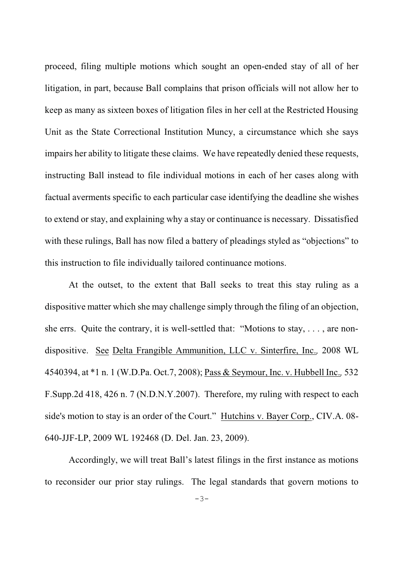proceed, filing multiple motions which sought an open-ended stay of all of her litigation, in part, because Ball complains that prison officials will not allow her to keep as many as sixteen boxes of litigation files in her cell at the Restricted Housing Unit as the State Correctional Institution Muncy, a circumstance which she says impairs her ability to litigate these claims. We have repeatedly denied these requests, instructing Ball instead to file individual motions in each of her cases along with factual averments specific to each particular case identifying the deadline she wishes to extend or stay, and explaining why a stay or continuance is necessary. Dissatisfied with these rulings, Ball has now filed a battery of pleadings styled as "objections" to this instruction to file individually tailored continuance motions.

At the outset, to the extent that Ball seeks to treat this stay ruling as a dispositive matter which she may challenge simply through the filing of an objection, she errs. Quite the contrary, it is well-settled that: "Motions to stay, . . . , are nondispositive. See Delta Frangible Ammunition, LLC v. Sinterfire, Inc.*,* 2008 WL 4540394, at \*1 n. 1 (W.D.Pa. Oct.7, 2008); Pass & Seymour, Inc. v. Hubbell Inc.*,* 532 F.Supp.2d 418, 426 n. 7 (N.D.N.Y.2007). Therefore, my ruling with respect to each side's motion to stay is an order of the Court." Hutchins v. Bayer Corp., CIV.A. 08- 640-JJF-LP, 2009 WL 192468 (D. Del. Jan. 23, 2009).

Accordingly, we will treat Ball's latest filings in the first instance as motions to reconsider our prior stay rulings. The legal standards that govern motions to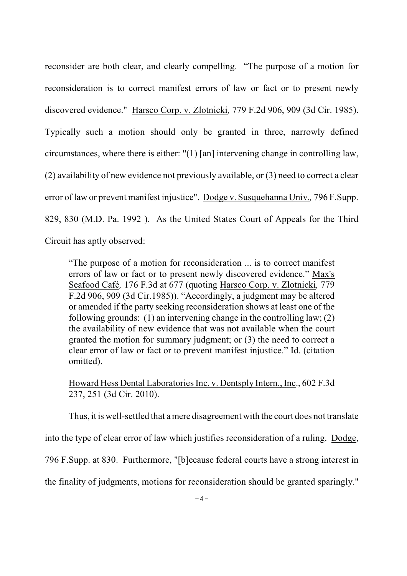reconsider are both clear, and clearly compelling. "The purpose of a motion for reconsideration is to correct manifest errors of law or fact or to present newly discovered evidence." Harsco Corp. v. Zlotnicki*,* 779 F.2d 906, 909 (3d Cir. 1985). Typically such a motion should only be granted in three, narrowly defined circumstances, where there is either: "(1) [an] intervening change in controlling law, (2) availability of new evidence not previously available, or (3) need to correct a clear error of law or prevent manifest injustice". Dodge v. Susquehanna Univ.*,* 796 F.Supp. 829, 830 (M.D. Pa. 1992 ). As the United States Court of Appeals for the Third Circuit has aptly observed:

"The purpose of a motion for reconsideration ... is to correct manifest errors of law or fact or to present newly discovered evidence." Max's Seafood Café*,* 176 F.3d at 677 (quoting Harsco Corp. v. Zlotnicki*,* 779 F.2d 906, 909 (3d Cir.1985)). "Accordingly, a judgment may be altered or amended if the party seeking reconsideration shows at least one of the following grounds: (1) an intervening change in the controlling law; (2) the availability of new evidence that was not available when the court granted the motion for summary judgment; or (3) the need to correct a clear error of law or fact or to prevent manifest injustice." Id. (citation omitted).

## Howard Hess Dental Laboratories Inc. v. Dentsply Intern., Inc., 602 F.3d 237, 251 (3d Cir. 2010).

Thus, it is well-settled that a mere disagreement with the court does not translate into the type of clear error of law which justifies reconsideration of a ruling. Dodge, 796 F.Supp. at 830. Furthermore, "[b]ecause federal courts have a strong interest in the finality of judgments, motions for reconsideration should be granted sparingly."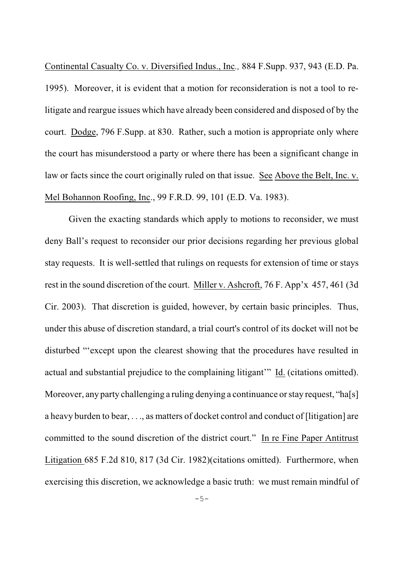Continental Casualty Co. v. Diversified Indus., Inc*.,* 884 F.Supp. 937, 943 (E.D. Pa. 1995). Moreover, it is evident that a motion for reconsideration is not a tool to relitigate and reargue issues which have already been considered and disposed of by the court. Dodge, 796 F.Supp. at 830. Rather, such a motion is appropriate only where the court has misunderstood a party or where there has been a significant change in law or facts since the court originally ruled on that issue. See Above the Belt, Inc. v. Mel Bohannon Roofing, Inc., 99 F.R.D. 99, 101 (E.D. Va. 1983).

Given the exacting standards which apply to motions to reconsider, we must deny Ball's request to reconsider our prior decisions regarding her previous global stay requests. It is well-settled that rulings on requests for extension of time or stays rest in the sound discretion of the court. Miller v. Ashcroft, 76 F. App'x 457, 461 (3d Cir. 2003). That discretion is guided, however, by certain basic principles. Thus, under this abuse of discretion standard, a trial court's control of its docket will not be disturbed "'except upon the clearest showing that the procedures have resulted in actual and substantial prejudice to the complaining litigant'" Id. (citations omitted). Moreover, any party challenging a ruling denying a continuance or stay request, "ha[s] a heavy burden to bear, . . ., as matters of docket control and conduct of [litigation] are committed to the sound discretion of the district court." In re Fine Paper Antitrust Litigation 685 F.2d 810, 817 (3d Cir. 1982)(citations omitted). Furthermore, when exercising this discretion, we acknowledge a basic truth: we must remain mindful of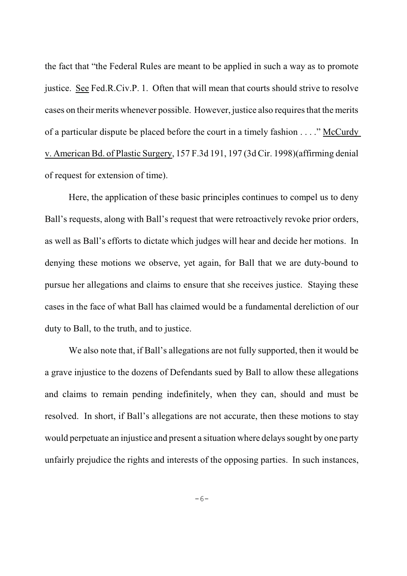the fact that "the Federal Rules are meant to be applied in such a way as to promote justice. See Fed.R.Civ.P. 1. Often that will mean that courts should strive to resolve cases on their merits whenever possible. However, justice also requires that the merits of a particular dispute be placed before the court in a timely fashion . . . ." McCurdy v. American Bd. of Plastic Surgery, 157 F.3d 191, 197 (3d Cir. 1998)(affirming denial of request for extension of time).

Here, the application of these basic principles continues to compel us to deny Ball's requests, along with Ball's request that were retroactively revoke prior orders, as well as Ball's efforts to dictate which judges will hear and decide her motions. In denying these motions we observe, yet again, for Ball that we are duty-bound to pursue her allegations and claims to ensure that she receives justice. Staying these cases in the face of what Ball has claimed would be a fundamental dereliction of our duty to Ball, to the truth, and to justice.

We also note that, if Ball's allegations are not fully supported, then it would be a grave injustice to the dozens of Defendants sued by Ball to allow these allegations and claims to remain pending indefinitely, when they can, should and must be resolved. In short, if Ball's allegations are not accurate, then these motions to stay would perpetuate an injustice and present a situation where delays sought by one party unfairly prejudice the rights and interests of the opposing parties. In such instances,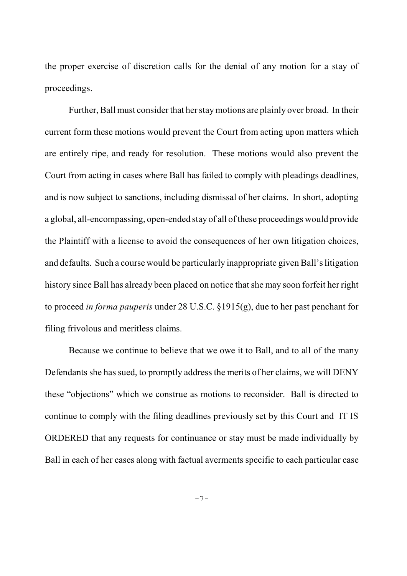the proper exercise of discretion calls for the denial of any motion for a stay of proceedings.

Further, Ball must consider that her stay motions are plainly over broad. In their current form these motions would prevent the Court from acting upon matters which are entirely ripe, and ready for resolution. These motions would also prevent the Court from acting in cases where Ball has failed to comply with pleadings deadlines, and is now subject to sanctions, including dismissal of her claims. In short, adopting a global, all-encompassing, open-ended stay of all of these proceedings would provide the Plaintiff with a license to avoid the consequences of her own litigation choices, and defaults. Such a course would be particularly inappropriate given Ball's litigation history since Ball has already been placed on notice that she may soon forfeit her right to proceed *in forma pauperis* under 28 U.S.C. §1915(g), due to her past penchant for filing frivolous and meritless claims.

Because we continue to believe that we owe it to Ball, and to all of the many Defendants she has sued, to promptly address the merits of her claims, we will DENY these "objections" which we construe as motions to reconsider. Ball is directed to continue to comply with the filing deadlines previously set by this Court and IT IS ORDERED that any requests for continuance or stay must be made individually by Ball in each of her cases along with factual averments specific to each particular case